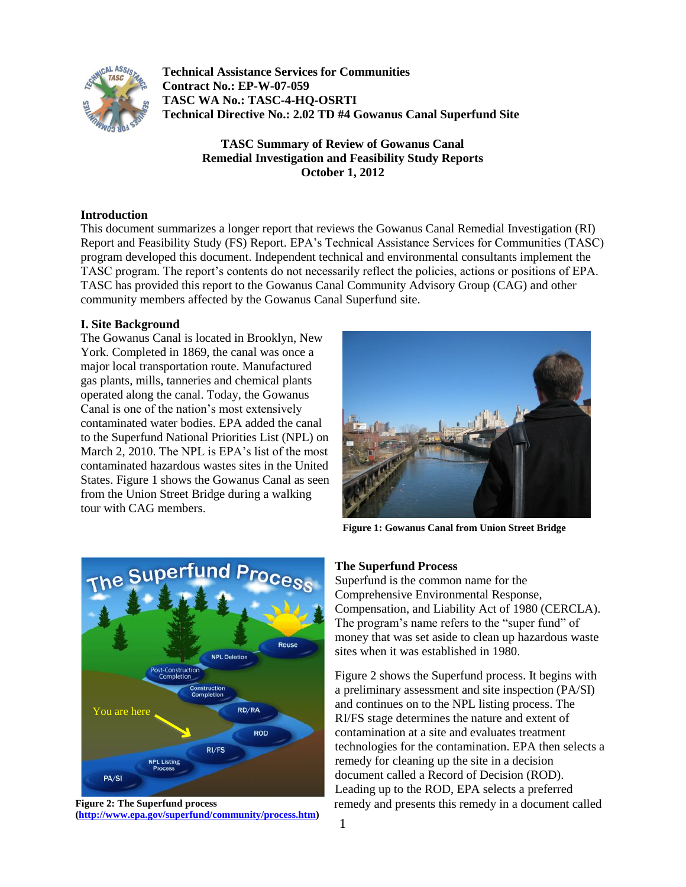

**Technical Assistance Services for Communities Contract No.: EP-W-07-059 TASC WA No.: TASC-4-HQ-OSRTI Technical Directive No.: 2.02 TD #4 Gowanus Canal Superfund Site**

> **TASC Summary of Review of Gowanus Canal Remedial Investigation and Feasibility Study Reports October 1, 2012**

### **Introduction**

This document summarizes a longer report that reviews the Gowanus Canal Remedial Investigation (RI) Report and Feasibility Study (FS) Report. EPA's Technical Assistance Services for Communities (TASC) program developed this document. Independent technical and environmental consultants implement the TASC program. The report's contents do not necessarily reflect the policies, actions or positions of EPA. TASC has provided this report to the Gowanus Canal Community Advisory Group (CAG) and other community members affected by the Gowanus Canal Superfund site.

#### **I. Site Background**

The Gowanus Canal is located in Brooklyn, New York. Completed in 1869, the canal was once a major local transportation route. Manufactured gas plants, mills, tanneries and chemical plants operated along the canal. Today, the Gowanus Canal is one of the nation's most extensively contaminated water bodies. EPA added the canal to the Superfund National Priorities List (NPL) on March 2, 2010. The NPL is EPA's list of the most contaminated hazardous wastes sites in the United States. Figure 1 shows the Gowanus Canal as seen from the Union Street Bridge during a walking tour with CAG members.



**Figure 1: Gowanus Canal from Union Street Bridge**



**Figure 2: The Superfund process [\(http://www.epa.gov/superfund/community/process.htm\)](http://www.epa.gov/superfund/community/process.htm)**

#### **The Superfund Process**

Superfund is the common name for the Comprehensive Environmental Response, Compensation, and Liability Act of 1980 (CERCLA). The program's name refers to the "super fund" of money that was set aside to clean up hazardous waste sites when it was established in 1980.

Figure 2 shows the Superfund process. It begins with a preliminary assessment and site inspection (PA/SI) and continues on to the NPL listing process. The RI/FS stage determines the nature and extent of contamination at a site and evaluates treatment technologies for the contamination. EPA then selects a remedy for cleaning up the site in a decision document called a Record of Decision (ROD). Leading up to the ROD, EPA selects a preferred remedy and presents this remedy in a document called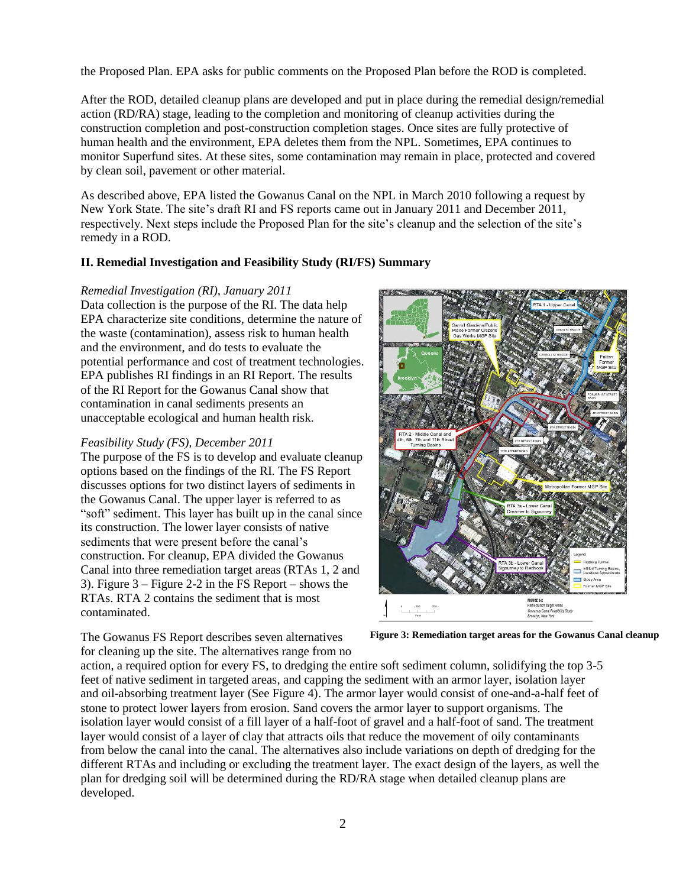the Proposed Plan. EPA asks for public comments on the Proposed Plan before the ROD is completed.

After the ROD, detailed cleanup plans are developed and put in place during the remedial design/remedial action (RD/RA) stage, leading to the completion and monitoring of cleanup activities during the construction completion and post-construction completion stages. Once sites are fully protective of human health and the environment, EPA deletes them from the NPL. Sometimes, EPA continues to monitor Superfund sites. At these sites, some contamination may remain in place, protected and covered by clean soil, pavement or other material.

As described above, EPA listed the Gowanus Canal on the NPL in March 2010 following a request by New York State. The site's draft RI and FS reports came out in January 2011 and December 2011, respectively. Next steps include the Proposed Plan for the site's cleanup and the selection of the site's remedy in a ROD.

## **II. Remedial Investigation and Feasibility Study (RI/FS) Summary**

#### *Remedial Investigation (RI), January 2011*

Data collection is the purpose of the RI. The data help EPA characterize site conditions, determine the nature of the waste (contamination), assess risk to human health and the environment, and do tests to evaluate the potential performance and cost of treatment technologies. EPA publishes RI findings in an RI Report. The results of the RI Report for the Gowanus Canal show that contamination in canal sediments presents an unacceptable ecological and human health risk.

#### *Feasibility Study (FS), December 2011*

The purpose of the FS is to develop and evaluate cleanup options based on the findings of the RI. The FS Report discusses options for two distinct layers of sediments in the Gowanus Canal. The upper layer is referred to as "soft" sediment. This layer has built up in the canal since its construction. The lower layer consists of native sediments that were present before the canal's construction. For cleanup, EPA divided the Gowanus Canal into three remediation target areas (RTAs 1, 2 and 3). Figure 3 – Figure 2-2 in the FS Report – shows the RTAs. RTA 2 contains the sediment that is most contaminated.



The Gowanus FS Report describes seven alternatives for cleaning up the site. The alternatives range from no

**Figure 3: Remediation target areas for the Gowanus Canal cleanup**

action, a required option for every FS, to dredging the entire soft sediment column, solidifying the top 3-5 feet of native sediment in targeted areas, and capping the sediment with an armor layer, isolation layer and oil-absorbing treatment layer (See Figure 4). The armor layer would consist of one-and-a-half feet of stone to protect lower layers from erosion. Sand covers the armor layer to support organisms. The isolation layer would consist of a fill layer of a half-foot of gravel and a half-foot of sand. The treatment layer would consist of a layer of clay that attracts oils that reduce the movement of oily contaminants from below the canal into the canal. The alternatives also include variations on depth of dredging for the different RTAs and including or excluding the treatment layer. The exact design of the layers, as well the plan for dredging soil will be determined during the RD/RA stage when detailed cleanup plans are developed.